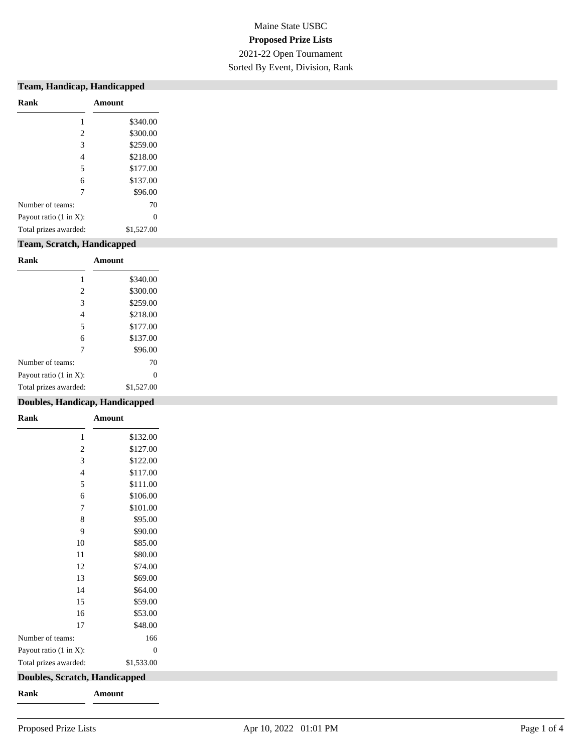## Maine State USBC **Proposed Prize Lists** 2021-22 Open Tournament Sorted By Event, Division, Rank

| Team, Handicap, Handicapped |  |
|-----------------------------|--|
|                             |  |

| Rank                   | Amount     |
|------------------------|------------|
| 1                      | \$340.00   |
| 2                      | \$300.00   |
| 3                      | \$259.00   |
| $\overline{4}$         | \$218.00   |
| 5                      | \$177.00   |
| 6                      | \$137.00   |
| 7                      | \$96.00    |
| Number of teams:       | 70         |
| Payout ratio (1 in X): | 0          |
| Total prizes awarded:  | \$1,527.00 |
|                        |            |

### **Team, Scratch, Handicapped**

| Rank                   | Amount       |
|------------------------|--------------|
|                        | \$340.00     |
| 2                      | \$300.00     |
| 3                      | \$259.00     |
| $\overline{4}$         | \$218.00     |
| 5                      | \$177.00     |
| 6                      | \$137.00     |
| $\overline{7}$         | \$96.00      |
| Number of teams:       | 70           |
| Payout ratio (1 in X): | $\mathbf{0}$ |
| Total prizes awarded:  | \$1,527.00   |

### **Doubles, Handicap, Handicapped**

| Rank                                 | Amount         |
|--------------------------------------|----------------|
| 1                                    | \$132.00       |
| $\overline{c}$                       | \$127.00       |
| 3                                    | \$122.00       |
| $\overline{4}$                       | \$117.00       |
| 5                                    | \$111.00       |
| 6                                    | \$106.00       |
| 7                                    | \$101.00       |
| 8                                    | \$95.00        |
| 9                                    | \$90.00        |
| 10                                   | \$85.00        |
| 11                                   | \$80.00        |
| 12                                   | \$74.00        |
| 13                                   | \$69.00        |
| 14                                   | \$64.00        |
| 15                                   | \$59.00        |
| 16                                   | \$53.00        |
| 17                                   | \$48.00        |
| Number of teams:                     | 166            |
| Payout ratio $(1 \text{ in } X)$ :   | $\overline{0}$ |
| Total prizes awarded:                | \$1,533.00     |
| <b>Doubles, Scratch, Handicapped</b> |                |

**Rank Amount**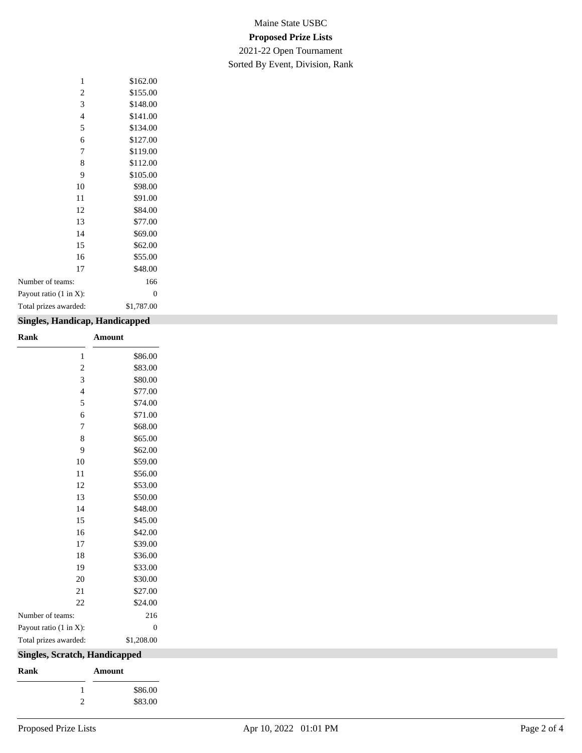# Maine State USBC **Proposed Prize Lists**

## 2021-22 Open Tournament Sorted By Event, Division, Rank

| 1                                  | \$162.00   |
|------------------------------------|------------|
| $\overline{c}$                     | \$155.00   |
| 3                                  | \$148.00   |
| $\overline{4}$                     | \$141.00   |
| 5                                  | \$134.00   |
| 6                                  | \$127.00   |
| 7                                  | \$119.00   |
| 8                                  | \$112.00   |
| 9                                  | \$105.00   |
| 10                                 | \$98.00    |
| 11                                 | \$91.00    |
| 12                                 | \$84.00    |
| 13                                 | \$77.00    |
| 14                                 | \$69.00    |
| 15                                 | \$62.00    |
| 16                                 | \$55.00    |
| 17                                 | \$48.00    |
| Number of teams:                   | 166        |
| Payout ratio $(1 \text{ in } X)$ : | 0          |
| Total prizes awarded:              | \$1,787.00 |
|                                    |            |

## **Singles, Handican, Han**

| Singles, Handicap, Handicapped       |                  |
|--------------------------------------|------------------|
| Rank                                 | Amount           |
| $\mathbf{1}$                         | \$86.00          |
| $\sqrt{2}$                           | \$83.00          |
| 3                                    | \$80.00          |
| 4                                    | \$77.00          |
| 5                                    | \$74.00          |
| $\sqrt{6}$                           | \$71.00          |
| $\boldsymbol{7}$                     | \$68.00          |
| $\,8\,$                              | \$65.00          |
| $\overline{9}$                       | \$62.00          |
| $10\,$                               | \$59.00          |
| 11                                   | \$56.00          |
| $12\,$                               | \$53.00          |
| 13                                   | \$50.00          |
| 14                                   | \$48.00          |
| $15\,$                               | \$45.00          |
| 16                                   | \$42.00          |
| 17                                   | \$39.00          |
| $18\,$                               | \$36.00          |
| 19                                   | \$33.00          |
| $20\,$                               | \$30.00          |
| 21                                   | \$27.00          |
| $22\,$                               | \$24.00          |
| Number of teams:                     | 216              |
| Payout ratio (1 in X):               | $\boldsymbol{0}$ |
| Total prizes awarded:                | \$1,208.00       |
| <b>Singles, Scratch, Handicapped</b> |                  |
| Rank                                 | Amount           |
| $\mathbf{1}$                         | \$86.00          |
| $\overline{c}$                       | \$83.00          |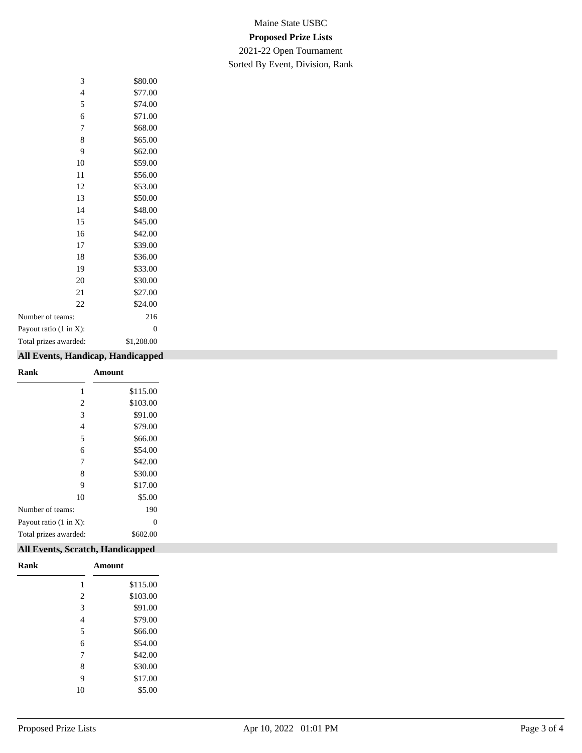# Maine State USBC **Proposed Prize Lists**

### 2021-22 Open Tournament Sorted By Event, Division, Rank

| 3                                  | \$80.00        |
|------------------------------------|----------------|
| $\overline{4}$                     | \$77.00        |
| 5                                  | \$74.00        |
| 6                                  | \$71.00        |
| 7                                  | \$68.00        |
| 8                                  | \$65.00        |
| 9                                  | \$62.00        |
| 10                                 | \$59.00        |
| 11                                 | \$56.00        |
| 12                                 | \$53.00        |
| 13                                 | \$50.00        |
| 14                                 | \$48.00        |
| 15                                 | \$45.00        |
| 16                                 | \$42.00        |
| 17                                 | \$39.00        |
| 18                                 | \$36.00        |
| 19                                 | \$33.00        |
| 20                                 | \$30.00        |
| 21                                 | \$27.00        |
| 22                                 | \$24.00        |
| Number of teams:                   | 216            |
| Payout ratio $(1 \text{ in } X)$ : | $\overline{0}$ |
| Total prizes awarded:              | \$1,208.00     |
|                                    |                |

## **All Events, Handicap, Handicapped**

| Amount   |
|----------|
| \$115.00 |
| \$103.00 |
| \$91.00  |
| \$79.00  |
| \$66.00  |
| \$54.00  |
| \$42.00  |
| \$30.00  |
| \$17.00  |
| \$5.00   |
| 190      |
| 0        |
| \$602.00 |
|          |

## **All Events, Scratch, Handicapped**

| Rank |    | Amount   |
|------|----|----------|
|      | 1  | \$115.00 |
|      | 2  | \$103.00 |
|      | 3  | \$91.00  |
|      | 4  | \$79.00  |
|      | 5  | \$66.00  |
|      | 6  | \$54.00  |
|      | 7  | \$42.00  |
|      | 8  | \$30.00  |
|      | 9  | \$17.00  |
|      | 10 | \$5.00   |